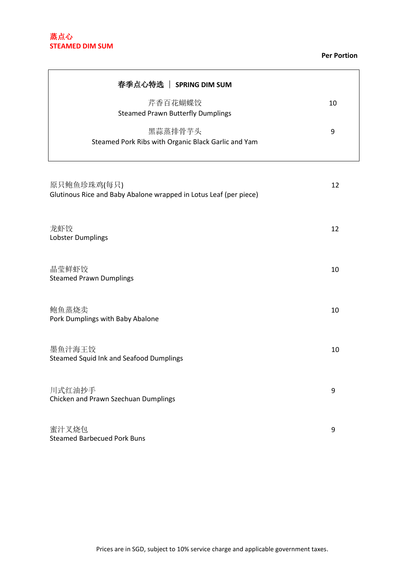#### **Per Portion**

| 春季点心特选   SPRING DIM SUM                                                          |    |
|----------------------------------------------------------------------------------|----|
| 芹香百花蝴蝶饺<br><b>Steamed Prawn Butterfly Dumplings</b>                              | 10 |
| 黑蒜蒸排骨芋头<br>Steamed Pork Ribs with Organic Black Garlic and Yam                   | 9  |
| 原只鲍鱼珍珠鸡(每只)<br>Glutinous Rice and Baby Abalone wrapped in Lotus Leaf (per piece) | 12 |
| 龙虾饺<br>Lobster Dumplings                                                         | 12 |
| 晶莹鲜虾饺<br><b>Steamed Prawn Dumplings</b>                                          | 10 |
| 鲍鱼蒸烧卖<br>Pork Dumplings with Baby Abalone                                        | 10 |
| 墨鱼汁海王饺<br><b>Steamed Squid Ink and Seafood Dumplings</b>                         | 10 |
| 川式红油抄手<br>Chicken and Prawn Szechuan Dumplings                                   | 9  |
| 蜜汁叉烧包<br><b>Steamed Barbecued Pork Buns</b>                                      | 9  |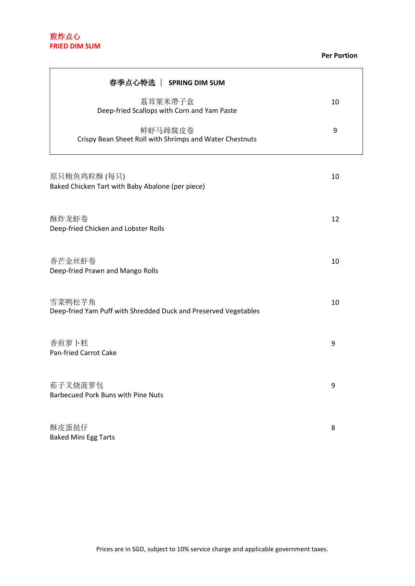# 煎炸点心 **FRIED DIM SUM**

 $\blacksquare$ 

#### **Per Portion**

| 春季点心特选   SPRING DIM SUM                                                   |    |
|---------------------------------------------------------------------------|----|
| 荔茸粟米帶子盒<br>Deep-fried Scallops with Corn and Yam Paste                    | 10 |
| 鲜虾马蹄腐皮卷<br>Crispy Bean Sheet Roll with Shrimps and Water Chestnuts        | 9  |
| 原只鲍鱼鸡粒酥(每只)<br>Baked Chicken Tart with Baby Abalone (per piece)           | 10 |
| 酥炸龙虾卷<br>Deep-fried Chicken and Lobster Rolls                             | 12 |
| 香芒金丝虾卷<br>Deep-fried Prawn and Mango Rolls                                | 10 |
| 雪菜鸭松芋角<br>Deep-fried Yam Puff with Shredded Duck and Preserved Vegetables | 10 |
| 香煎萝卜糕<br>Pan-fried Carrot Cake                                            | 9  |
| 菘子叉烧菠萝包<br><b>Barbecued Pork Buns with Pine Nuts</b>                      | 9  |
| 酥皮蛋挞仔<br><b>Baked Mini Egg Tarts</b>                                      | 8  |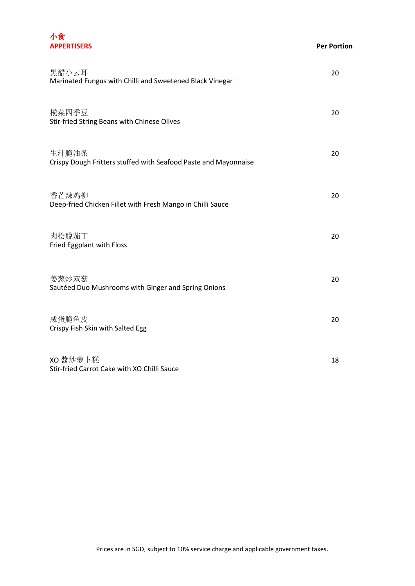

| 黑醋小云耳<br>Marinated Fungus with Chilli and Sweetened Black Vinegar        | 20 |
|--------------------------------------------------------------------------|----|
| 榄菜四季豆<br>Stir-fried String Beans with Chinese Olives                     | 20 |
| 生汁脆油条<br>Crispy Dough Fritters stuffed with Seafood Paste and Mayonnaise | 20 |
| 香芒辣鸡柳<br>Deep-fried Chicken Fillet with Fresh Mango in Chilli Sauce      | 20 |
| 肉松脫茄丁<br>Fried Eggplant with Floss                                       | 20 |
| 姜葱炒双菇<br>Sautéed Duo Mushrooms with Ginger and Spring Onions             | 20 |
| 咸蛋脆鱼皮<br>Crispy Fish Skin with Salted Egg                                | 20 |
| XO 醬炒萝卜糕<br>Stir-fried Carrot Cake with XO Chilli Sauce                  | 18 |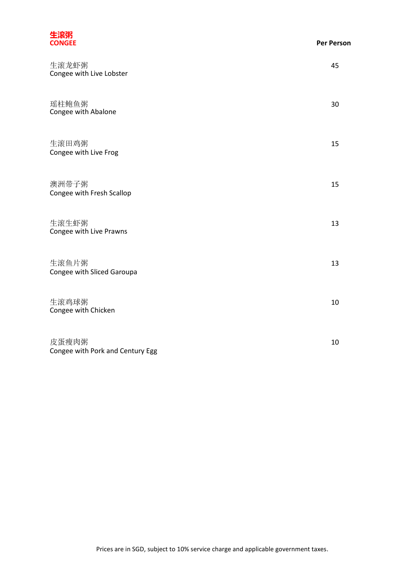| 生滚粥<br><b>CONGEE</b>                      | <b>Per Person</b> |
|-------------------------------------------|-------------------|
| 生滚龙虾粥<br>Congee with Live Lobster         | 45                |
| 瑶柱鲍鱼粥<br>Congee with Abalone              | 30                |
| 生滚田鸡粥<br>Congee with Live Frog            | 15                |
| 澳洲带子粥<br>Congee with Fresh Scallop        | 15                |
| 生滚生虾粥<br>Congee with Live Prawns          | 13                |
| 生滚鱼片粥<br>Congee with Sliced Garoupa       | 13                |
| 生滚鸡球粥<br>Congee with Chicken              | 10                |
| 皮蛋瘦肉粥<br>Congee with Pork and Century Egg | 10                |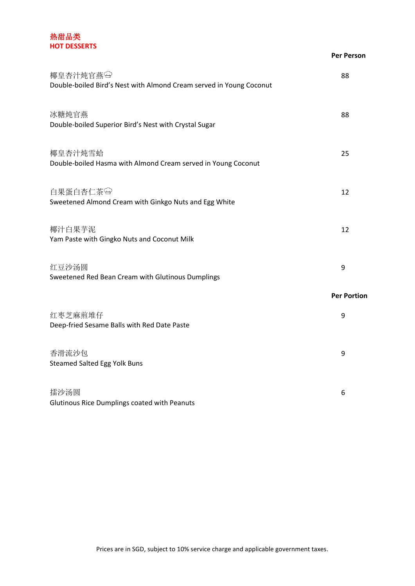### 热甜品类 **HOT DESSERTS**

|                                                                                 | <b>Per Person</b>  |
|---------------------------------------------------------------------------------|--------------------|
| 椰皇杏汁炖官燕田<br>Double-boiled Bird's Nest with Almond Cream served in Young Coconut | 88                 |
| 冰糖炖官燕<br>Double-boiled Superior Bird's Nest with Crystal Sugar                  | 88                 |
| 椰皇杏汁炖雪蛤<br>Double-boiled Hasma with Almond Cream served in Young Coconut        | 25                 |
| 白果蛋白杏仁茶<br>Sweetened Almond Cream with Ginkgo Nuts and Egg White                | 12                 |
| 椰汁白果芋泥<br>Yam Paste with Gingko Nuts and Coconut Milk                           | 12                 |
| 红豆沙汤圆<br>Sweetened Red Bean Cream with Glutinous Dumplings                      | 9                  |
|                                                                                 | <b>Per Portion</b> |
| 红枣芝麻煎堆仔<br>Deep-fried Sesame Balls with Red Date Paste                          | 9                  |
| 香滑流沙包<br><b>Steamed Salted Egg Yolk Buns</b>                                    | 9                  |
| 擂沙汤圆<br>Glutinous Rice Dumplings coated with Peanuts                            | 6                  |